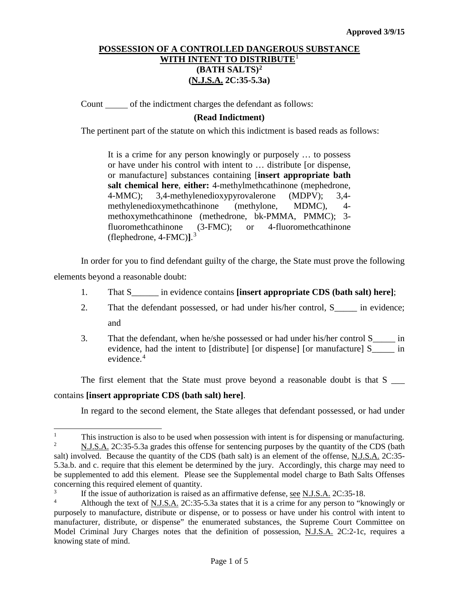Count of the indictment charges the defendant as follows:

## **(Read Indictment)**

The pertinent part of the statute on which this indictment is based reads as follows:

It is a crime for any person knowingly or purposely … to possess or have under his control with intent to … distribute [or dispense, or manufacture] substances containing [**insert appropriate bath salt chemical here**, **either:** 4-methylmethcathinone (mephedrone, 4-MMC); 3,4-methylenedioxypyrovalerone (MDPV); 3,4 methylenedioxymethcathinone (methylone, MDMC), 4 methoxymethcathinone (methedrone, bk-PMMA, PMMC); 3-<br>fluoromethcathinone (3-FMC); or 4-fluoromethcathinone fluoromethcathinone (3-FMC); or 4-fluoromethcathinone (flephedrone, 4-FMC)**]**. [3](#page-0-2)

In order for you to find defendant guilty of the charge, the State must prove the following elements beyond a reasonable doubt:

- 1. That S\_\_\_\_\_\_ in evidence contains **[insert appropriate CDS (bath salt) here]**;
- 2. That the defendant possessed, or had under his/her control, S\_\_\_\_\_ in evidence; and
- 3. That the defendant, when he/she possessed or had under his/her control S\_\_\_\_\_ in evidence, had the intent to [distribute] [or dispense] [or manufacture] S\_\_\_\_\_ in evidence.<sup>[4](#page-0-3)</sup>

The first element that the State must prove beyond a reasonable doubt is that S \_\_\_

## contains **[insert appropriate CDS (bath salt) here]**.

In regard to the second element, the State alleges that defendant possessed, or had under

<span id="page-0-0"></span><sup>|&</sup>lt;br>|<br>| This instruction is also to be used when possession with intent is for dispensing or manufacturing.<br>N I S A 2C:35.5.3.3 grades this offense for sentencing purposes by the quantity of the CDS (bath

<span id="page-0-1"></span><sup>2</sup> N.J.S.A. 2C:35-5.3a grades this offense for sentencing purposes by the quantity of the CDS (bath salt) involved. Because the quantity of the CDS (bath salt) is an element of the offense, N.J.S.A. 2C:35- 5.3a.b. and c. require that this element be determined by the jury. Accordingly, this charge may need to be supplemented to add this element. Please see the Supplemental model charge to Bath Salts Offenses concerning this required element of quantity.

<span id="page-0-2"></span><sup>&</sup>lt;sup>3</sup><br>If the issue of authorization is raised as an affirmative defense, <u>see N.J.S.A.</u> 2C:35-18.<br>Although the text of N I S A 2C:35-5.3a states that it is a crime for any person to "kr

<span id="page-0-3"></span><sup>4</sup> Although the text of N.J.S.A. 2C:35-5.3a states that it is a crime for any person to "knowingly or purposely to manufacture, distribute or dispense, or to possess or have under his control with intent to manufacturer, distribute, or dispense" the enumerated substances, the Supreme Court Committee on Model Criminal Jury Charges notes that the definition of possession, N.J.S.A. 2C:2-1c, requires a knowing state of mind.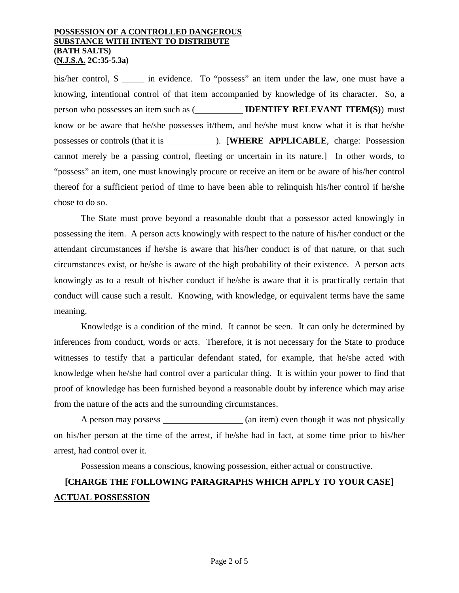his/her control, S in evidence. To "possess" an item under the law, one must have a knowing, intentional control of that item accompanied by knowledge of its character. So, a person who possesses an item such as ( **IDENTIFY RELEVANT ITEM(S)**) must know or be aware that he/she possesses it/them, and he/she must know what it is that he/she possesses or controls (that it is ). [**WHERE APPLICABLE**, charge: Possession cannot merely be a passing control, fleeting or uncertain in its nature.] In other words, to "possess" an item, one must knowingly procure or receive an item or be aware of his/her control thereof for a sufficient period of time to have been able to relinquish his/her control if he/she chose to do so.

The State must prove beyond a reasonable doubt that a possessor acted knowingly in possessing the item. A person acts knowingly with respect to the nature of his/her conduct or the attendant circumstances if he/she is aware that his/her conduct is of that nature, or that such circumstances exist, or he/she is aware of the high probability of their existence. A person acts knowingly as to a result of his/her conduct if he/she is aware that it is practically certain that conduct will cause such a result. Knowing, with knowledge, or equivalent terms have the same meaning.

Knowledge is a condition of the mind. It cannot be seen. It can only be determined by inferences from conduct, words or acts. Therefore, it is not necessary for the State to produce witnesses to testify that a particular defendant stated, for example, that he/she acted with knowledge when he/she had control over a particular thing. It is within your power to find that proof of knowledge has been furnished beyond a reasonable doubt by inference which may arise from the nature of the acts and the surrounding circumstances.

A person may possess (an item) even though it was not physically on his/her person at the time of the arrest, if he/she had in fact, at some time prior to his/her arrest, had control over it.

Possession means a conscious, knowing possession, either actual or constructive.

# **[CHARGE THE FOLLOWING PARAGRAPHS WHICH APPLY TO YOUR CASE] ACTUAL POSSESSION**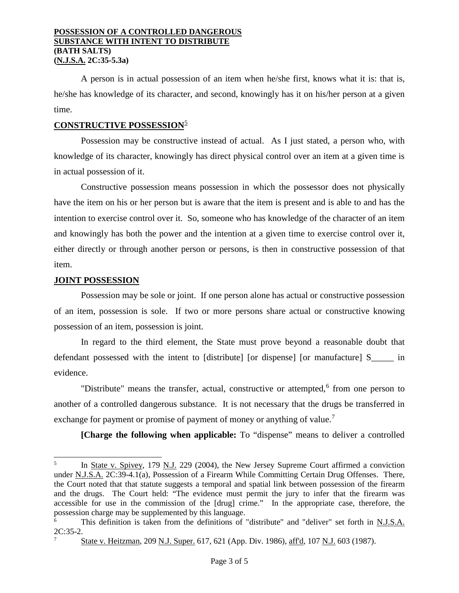A person is in actual possession of an item when he/she first, knows what it is: that is, he/she has knowledge of its character, and second, knowingly has it on his/her person at a given time.

## **CONSTRUCTIVE POSSESSION**[5](#page-2-0)

Possession may be constructive instead of actual. As I just stated, a person who, with knowledge of its character, knowingly has direct physical control over an item at a given time is in actual possession of it.

Constructive possession means possession in which the possessor does not physically have the item on his or her person but is aware that the item is present and is able to and has the intention to exercise control over it. So, someone who has knowledge of the character of an item and knowingly has both the power and the intention at a given time to exercise control over it, either directly or through another person or persons, is then in constructive possession of that item.

## **JOINT POSSESSION**

 $\overline{a}$ 

Possession may be sole or joint. If one person alone has actual or constructive possession of an item, possession is sole. If two or more persons share actual or constructive knowing possession of an item, possession is joint.

In regard to the third element, the State must prove beyond a reasonable doubt that defendant possessed with the intent to [distribute] [or dispense] [or manufacture] S\_\_\_\_\_ in evidence.

"Distribute" means the transfer, actual, constructive or attempted, $6$  from one person to another of a controlled dangerous substance. It is not necessary that the drugs be transferred in exchange for payment or promise of payment of money or anything of value.<sup>[7](#page-2-2)</sup>

**[Charge the following when applicable:** To "dispense" means to deliver a controlled

<span id="page-2-0"></span><sup>&</sup>lt;sup>5</sup> In State v. Spivey, 179 N.J. 229 (2004), the New Jersey Supreme Court affirmed a conviction under N.J.S.A. 2C:39-4.1(a), Possession of a Firearm While Committing Certain Drug Offenses. There, the Court noted that that statute suggests a temporal and spatial link between possession of the firearm and the drugs. The Court held: "The evidence must permit the jury to infer that the firearm was accessible for use in the commission of the [drug] crime." In the appropriate case, therefore, the possession charge may be supplemented by this language.

<span id="page-2-2"></span><span id="page-2-1"></span>This definition is taken from the definitions of "distribute" and "deliver" set forth in N.J.S.A. 2C:35-2.

<sup>7</sup> State v. Heitzman, 209 N.J. Super. 617, 621 (App. Div. 1986), aff'd, 107 N.J. 603 (1987).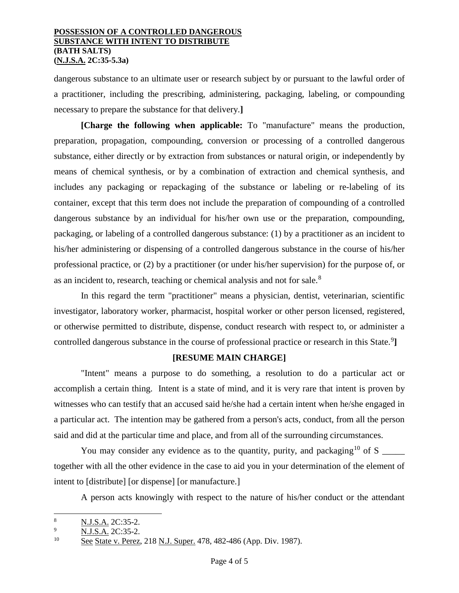dangerous substance to an ultimate user or research subject by or pursuant to the lawful order of a practitioner, including the prescribing, administering, packaging, labeling, or compounding necessary to prepare the substance for that delivery.**]**

**[Charge the following when applicable:** To "manufacture" means the production, preparation, propagation, compounding, conversion or processing of a controlled dangerous substance, either directly or by extraction from substances or natural origin, or independently by means of chemical synthesis, or by a combination of extraction and chemical synthesis, and includes any packaging or repackaging of the substance or labeling or re-labeling of its container, except that this term does not include the preparation of compounding of a controlled dangerous substance by an individual for his/her own use or the preparation, compounding, packaging, or labeling of a controlled dangerous substance: (1) by a practitioner as an incident to his/her administering or dispensing of a controlled dangerous substance in the course of his/her professional practice, or (2) by a practitioner (or under his/her supervision) for the purpose of, or as an incident to, research, teaching or chemical analysis and not for sale.[8](#page-3-0)

In this regard the term "practitioner" means a physician, dentist, veterinarian, scientific investigator, laboratory worker, pharmacist, hospital worker or other person licensed, registered, or otherwise permitted to distribute, dispense, conduct research with respect to, or administer a controlled dangerous substance in the course of professional practice or research in this State.<sup>[9](#page-3-1)</sup>]

## **[RESUME MAIN CHARGE]**

"Intent" means a purpose to do something, a resolution to do a particular act or accomplish a certain thing. Intent is a state of mind, and it is very rare that intent is proven by witnesses who can testify that an accused said he/she had a certain intent when he/she engaged in a particular act. The intention may be gathered from a person's acts, conduct, from all the person said and did at the particular time and place, and from all of the surrounding circumstances.

You may consider any evidence as to the quantity, purity, and packaging<sup>[10](#page-3-2)</sup> of S together with all the other evidence in the case to aid you in your determination of the element of intent to [distribute] [or dispense] [or manufacture.]

A person acts knowingly with respect to the nature of his/her conduct or the attendant

<span id="page-3-0"></span> $\frac{8}{9}$  N.J.S.A. 2C:35-2.  $\overline{a}$ 

<span id="page-3-1"></span> $\frac{9}{10}$  N.J.S.A. 2C:35-2.

<span id="page-3-2"></span>See State v. Perez, 218 N.J. Super. 478, 482-486 (App. Div. 1987).